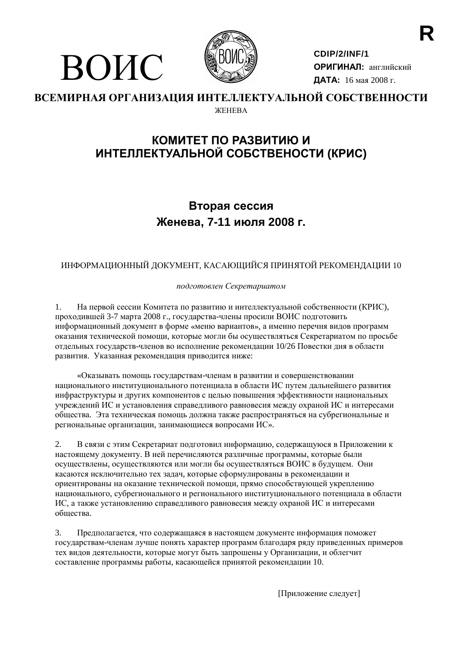

ВОИС

CDIP/2/INF/1 ОРИГИНАЛ: английский ДАТА: 16 мая 2008 г.

#### ВСЕМИРНАЯ ОРГАНИЗАЦИЯ ИНТЕЛЛЕКТУАЛЬНОЙ СОБСТВЕННОСТИ *ЖЕНЕВА*

# КОМИТЕТ ПО РАЗВИТИЮ И ИНТЕЛЛЕКТУАЛЬНОЙ СОБСТВЕНОСТИ (КРИС)

# Вторая сессия Женева, 7-11 июля 2008 г.

# ИНФОРМАЦИОННЫЙ ДОКУМЕНТ, КАСАЮЩИЙСЯ ПРИНЯТОЙ РЕКОМЕНДАЦИИ 10

подготовлен Секретариатом

1. На первой сессии Комитета по развитию и интеллектуальной собственности (КРИС), проходившей 3-7 марта 2008 г., государства-члены просили ВОИС подготовить информационный документ в форме «меню вариантов», а именно перечня видов программ оказания технической помощи, которые могли бы осуществляться Секретариатом по просьбе отдельных государств-членов во исполнение рекомендации 10/26 Повестки дня в области развития. Указанная рекомендация приводится ниже:

«Оказывать помощь государствам-членам в развитии и совершенствовании национального институционального потенциала в области ИС путем дальнейшего развития инфраструктуры и других компонентов с целью повышения эффективности национальных учреждений ИС и установления справедливого равновесия между охраной ИС и интересами общества. Эта техническая помощь должна также распространяться на субрегиональные и региональные организации, занимающиеся вопросами ИС».

2. В связи с этим Секретариат подготовил информацию, содержащуюся в Приложении к настоящему документу. В ней перечисляются различные программы, которые были осуществлены, осуществляются или могли бы осуществляться ВОИС в будущем. Они касаются исключительно тех задач, которые сформулированы в рекомендации и ориентированы на оказание технической помощи, прямо способствующей укреплению национального, субрегионального и регионального институционального потенциала в области ИС, а также установлению справедливого равновесия между охраной ИС и интересами обшества.

 $\mathcal{E}$ Предполагается, что содержащаяся в настоящем документе информация поможет государствам-членам лучше понять характер программ благодаря ряду приведенных примеров тех видов деятельности, которые могут быть запрошены у Организации, и облегчит составление программы работы, касающейся принятой рекомендации 10.

[Приложение следует]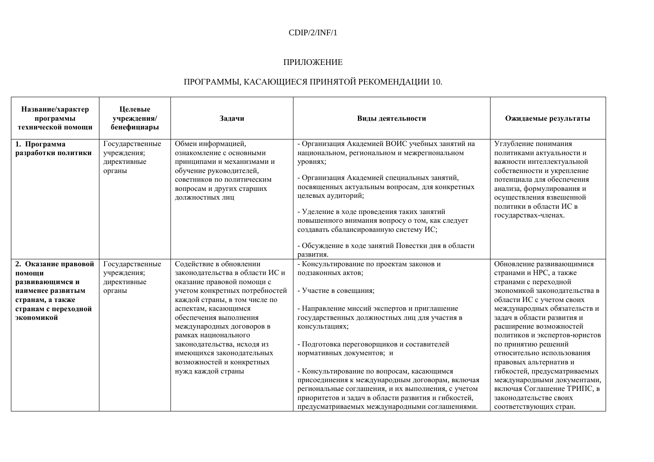## $CDIP/2/INF/1$

#### ПРИЛОЖЕНИЕ

# ПРОГРАММЫ, КАСАЮЩИЕСЯ ПРИНЯТОЙ РЕКОМЕНДАЦИИ 10.

| Название/характер<br>программы<br>технической помощи | Целевые<br>учреждения/<br>бенефициары                   | Задачи                                                                                                                                                                                | Виды деятельности                                                                                                                                                                                                                                                                                                                                                                                                                     | Ожидаемые результаты                                                                                                                                                                                                                                   |
|------------------------------------------------------|---------------------------------------------------------|---------------------------------------------------------------------------------------------------------------------------------------------------------------------------------------|---------------------------------------------------------------------------------------------------------------------------------------------------------------------------------------------------------------------------------------------------------------------------------------------------------------------------------------------------------------------------------------------------------------------------------------|--------------------------------------------------------------------------------------------------------------------------------------------------------------------------------------------------------------------------------------------------------|
| 1. Программа<br>разработки политики                  | Государственные<br>учреждения;<br>директивные<br>органы | Обмен информацией,<br>ознакомление с основными<br>принципами и механизмами и<br>обучение руководителей,<br>советников по политическим<br>вопросам и других старших<br>должностных лиц | - Организация Академией ВОИС учебных занятий на<br>национальном, региональном и межрегиональном<br>уровнях;<br>- Организация Академией специальных занятий,<br>посвященных актуальным вопросам, для конкретных<br>целевых аудиторий;<br>- Уделение в ходе проведения таких занятий<br>повышенного внимания вопросу о том, как следует<br>создавать сбалансированную систему ИС;<br>- Обсуждение в ходе занятий Повестки дня в области | Углубление понимания<br>политиками актуальности и<br>важности интеллектуальной<br>собственности и укрепление<br>потенциала для обеспечения<br>анализа, формулирования и<br>осуществления взвешенной<br>политики в области ИС в<br>государствах-членах. |
|                                                      |                                                         | Содействие в обновлении                                                                                                                                                               | развития.                                                                                                                                                                                                                                                                                                                                                                                                                             |                                                                                                                                                                                                                                                        |
| 2. Оказание правовой<br>помощи                       | Государственные                                         | законодательства в области ИС и                                                                                                                                                       | - Консультирование по проектам законов и<br>подзаконных актов;                                                                                                                                                                                                                                                                                                                                                                        | Обновление развивающимися<br>странами и НРС, а также                                                                                                                                                                                                   |
| развивающимся и                                      | учреждения;<br>директивные                              | оказание правовой помощи с                                                                                                                                                            |                                                                                                                                                                                                                                                                                                                                                                                                                                       | странами с переходной                                                                                                                                                                                                                                  |
| наименее развитым                                    | органы                                                  | учетом конкретных потребностей                                                                                                                                                        | - Участие в совещания;                                                                                                                                                                                                                                                                                                                                                                                                                | экономикой законодательства в                                                                                                                                                                                                                          |
| странам, а также                                     |                                                         | каждой страны, в том числе по                                                                                                                                                         |                                                                                                                                                                                                                                                                                                                                                                                                                                       | области ИС с учетом своих                                                                                                                                                                                                                              |
| странам с переходной                                 |                                                         | аспектам, касающимся                                                                                                                                                                  | - Направление миссий экспертов и приглашение                                                                                                                                                                                                                                                                                                                                                                                          | международных обязательств и                                                                                                                                                                                                                           |
| экономикой                                           |                                                         | обеспечения выполнения                                                                                                                                                                | государственных должностных лиц для участия в                                                                                                                                                                                                                                                                                                                                                                                         | задач в области развития и                                                                                                                                                                                                                             |
|                                                      |                                                         | международных договоров в                                                                                                                                                             | консультациях;                                                                                                                                                                                                                                                                                                                                                                                                                        | расширение возможностей                                                                                                                                                                                                                                |
|                                                      |                                                         | рамках национального                                                                                                                                                                  |                                                                                                                                                                                                                                                                                                                                                                                                                                       | политиков и экспертов-юристов                                                                                                                                                                                                                          |
|                                                      |                                                         | законодательства, исходя из                                                                                                                                                           | - Подготовка переговорщиков и составителей                                                                                                                                                                                                                                                                                                                                                                                            | по принятию решений                                                                                                                                                                                                                                    |
|                                                      |                                                         | имеющихся законодательных                                                                                                                                                             | нормативных документов; и                                                                                                                                                                                                                                                                                                                                                                                                             | относительно использования                                                                                                                                                                                                                             |
|                                                      |                                                         | возможностей и конкретных                                                                                                                                                             |                                                                                                                                                                                                                                                                                                                                                                                                                                       | правовых альтернатив и                                                                                                                                                                                                                                 |
|                                                      |                                                         | нужд каждой страны                                                                                                                                                                    | - Консультирование по вопросам, касающимся                                                                                                                                                                                                                                                                                                                                                                                            | гибкостей, предусматриваемых                                                                                                                                                                                                                           |
|                                                      |                                                         |                                                                                                                                                                                       | присоединения к международным договорам, включая                                                                                                                                                                                                                                                                                                                                                                                      | международными документами,                                                                                                                                                                                                                            |
|                                                      |                                                         |                                                                                                                                                                                       | региональные соглашения, и их выполнения, с учетом                                                                                                                                                                                                                                                                                                                                                                                    | включая Соглашение ТРИПС, в                                                                                                                                                                                                                            |
|                                                      |                                                         |                                                                                                                                                                                       | приоритетов и задач в области развития и гибкостей,                                                                                                                                                                                                                                                                                                                                                                                   | законодательстве своих                                                                                                                                                                                                                                 |
|                                                      |                                                         |                                                                                                                                                                                       | предусматриваемых международными соглашениями.                                                                                                                                                                                                                                                                                                                                                                                        | соответствующих стран.                                                                                                                                                                                                                                 |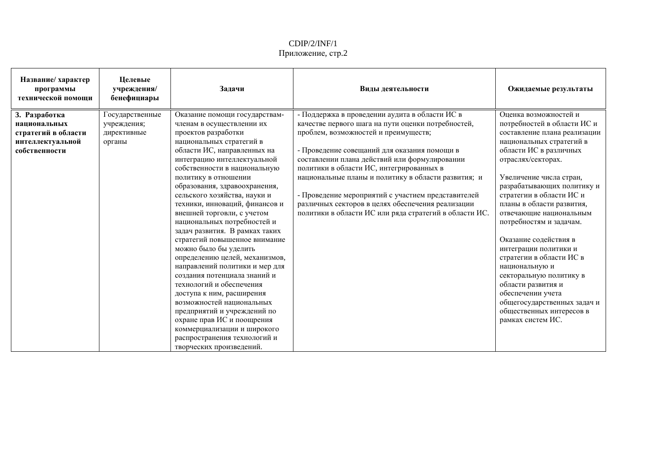| Название/ характер<br>программы<br>технической помощи | Целевые<br>учреждения/<br>бенефициары | Задачи                         | Виды деятельности                                      | Ожидаемые результаты         |
|-------------------------------------------------------|---------------------------------------|--------------------------------|--------------------------------------------------------|------------------------------|
| 3. Разработка                                         | Государственные                       | Оказание помощи государствам-  | - Поддержка в проведении аудита в области ИС в         | Оценка возможностей и        |
| национальных                                          | учреждения;                           | членам в осуществлении их      | качестве первого шага на пути оценки потребностей,     | потребностей в области ИС и  |
| стратегий в области                                   | директивные                           | проектов разработки            | проблем, возможностей и преимуществ;                   | составление плана реализации |
| интеллектуальной                                      | органы                                | национальных стратегий в       |                                                        | национальных стратегий в     |
| собственности                                         |                                       | области ИС, направленных на    | - Проведение совещаний для оказания помощи в           | области ИС в различных       |
|                                                       |                                       | интеграцию интеллектуальной    | составлении плана действий или формулировании          | отраслях/секторах.           |
|                                                       |                                       | собственности в национальную   | политики в области ИС, интегрированных в               |                              |
|                                                       |                                       | политику в отношении           | национальные планы и политику в области развития; и    | Увеличение числа стран,      |
|                                                       |                                       | образования, здравоохранения,  |                                                        | разрабатывающих политику и   |
|                                                       |                                       | сельского хозяйства, науки и   | - Проведение мероприятий с участием представителей     | стратегии в области ИС и     |
|                                                       |                                       | техники, инноваций, финансов и | различных секторов в целях обеспечения реализации      | планы в области развития,    |
|                                                       |                                       | внешней торговли, с учетом     | политики в области ИС или ряда стратегий в области ИС. | отвечающие национальным      |
|                                                       |                                       | национальных потребностей и    |                                                        | потребностям и задачам.      |
|                                                       |                                       | задач развития. В рамках таких |                                                        |                              |
|                                                       |                                       | стратегий повышенное внимание  |                                                        | Оказание содействия в        |
|                                                       |                                       | можно было бы уделить          |                                                        | интеграции политики и        |
|                                                       |                                       | определению целей, механизмов, |                                                        | стратегии в области ИС в     |
|                                                       |                                       | направлений политики и мер для |                                                        | национальную и               |
|                                                       |                                       | создания потенциала знаний и   |                                                        | секторальную политику в      |
|                                                       |                                       | технологий и обеспечения       |                                                        | области развития и           |
|                                                       |                                       | доступа к ним, расширения      |                                                        | обеспечении учета            |
|                                                       |                                       | возможностей национальных      |                                                        | общегосударственных задач и  |
|                                                       |                                       | предприятий и учреждений по    |                                                        | общественных интересов в     |
|                                                       |                                       | охране прав ИС и поощрения     |                                                        | рамках систем ИС.            |
|                                                       |                                       | коммерциализации и широкого    |                                                        |                              |
|                                                       |                                       | распространения технологий и   |                                                        |                              |
|                                                       |                                       | творческих произведений.       |                                                        |                              |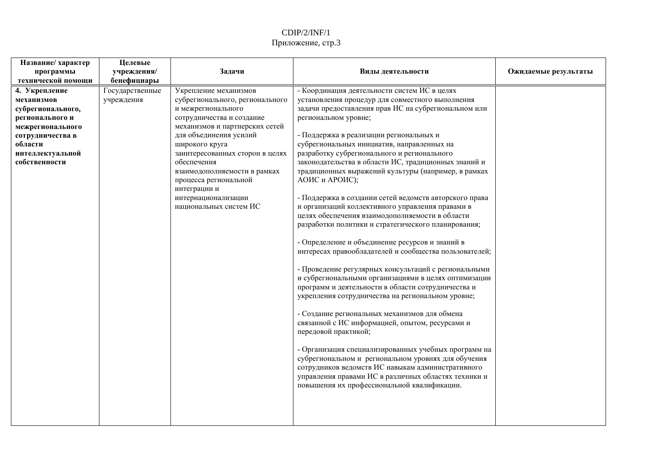| Название/ характер                                                                                                                                                                             | Целевые                                                     |                                                                                                                                                                                                                                                                                                                                                                                 |                                                                                                                                                                                                                                                                                                                                                                                                                                                                                                                                                                                                                                                                                                                                                                                                                                                                                                                                                                                                                                                                                                 |                      |
|------------------------------------------------------------------------------------------------------------------------------------------------------------------------------------------------|-------------------------------------------------------------|---------------------------------------------------------------------------------------------------------------------------------------------------------------------------------------------------------------------------------------------------------------------------------------------------------------------------------------------------------------------------------|-------------------------------------------------------------------------------------------------------------------------------------------------------------------------------------------------------------------------------------------------------------------------------------------------------------------------------------------------------------------------------------------------------------------------------------------------------------------------------------------------------------------------------------------------------------------------------------------------------------------------------------------------------------------------------------------------------------------------------------------------------------------------------------------------------------------------------------------------------------------------------------------------------------------------------------------------------------------------------------------------------------------------------------------------------------------------------------------------|----------------------|
|                                                                                                                                                                                                |                                                             |                                                                                                                                                                                                                                                                                                                                                                                 |                                                                                                                                                                                                                                                                                                                                                                                                                                                                                                                                                                                                                                                                                                                                                                                                                                                                                                                                                                                                                                                                                                 |                      |
| программы<br>технической помощи<br>4. Укрепление<br>механизмов<br>субрегионального,<br>регионального и<br>межрегионального<br>сотрудничества в<br>области<br>интеллектуальной<br>собственности | учреждения/<br>бенефициары<br>Государственные<br>учреждения | Задачи<br>Укрепление механизмов<br>субрегионального, регионального<br>и межрегионального<br>сотрудничества и создание<br>механизмов и партнерских сетей<br>для объединения усилий<br>широкого круга<br>заинтересованных сторон в целях<br>обеспечения<br>взаимодополняемости в рамках<br>процесса региональной<br>интеграции и<br>интернационализации<br>национальных систем ИС | Виды деятельности<br>- Координация деятельности систем ИС в целях<br>установления процедур для совместного выполнения<br>задачи предоставления прав ИС на субрегиональном или<br>региональном уровне;<br>- Поддержка в реализации региональных и<br>субрегиональных инициатив, направленных на<br>разработку субрегионального и регионального<br>законодательства в области ИС, традиционных знаний и<br>традиционных выражений культуры (например, в рамках<br>АОИС и АРОИС);<br>- Поддержка в создании сетей ведомств авторского права<br>и организаций коллективного управления правами в<br>целях обеспечения взаимодополняемости в области<br>разработки политики и стратегического планирования;<br>- Определение и объединение ресурсов и знаний в<br>интересах правообладателей и сообщества пользователей;<br>- Проведение регулярных консультаций с региональными<br>и субрегиональными организациями в целях оптимизации<br>программ и деятельности в области сотрудничества и<br>укрепления сотрудничества на региональном уровне;<br>- Создание региональных механизмов для обмена | Ожидаемые результаты |
|                                                                                                                                                                                                |                                                             |                                                                                                                                                                                                                                                                                                                                                                                 | связанной с ИС информацией, опытом, ресурсами и<br>передовой практикой;                                                                                                                                                                                                                                                                                                                                                                                                                                                                                                                                                                                                                                                                                                                                                                                                                                                                                                                                                                                                                         |                      |
|                                                                                                                                                                                                |                                                             |                                                                                                                                                                                                                                                                                                                                                                                 | - Организация специализированных учебных программ на<br>субрегиональном и региональном уровнях для обучения<br>сотрудников ведомств ИС навыкам административного<br>управления правами ИС в различных областях техники и<br>повышения их профессиональной квалификации.                                                                                                                                                                                                                                                                                                                                                                                                                                                                                                                                                                                                                                                                                                                                                                                                                         |                      |
|                                                                                                                                                                                                |                                                             |                                                                                                                                                                                                                                                                                                                                                                                 |                                                                                                                                                                                                                                                                                                                                                                                                                                                                                                                                                                                                                                                                                                                                                                                                                                                                                                                                                                                                                                                                                                 |                      |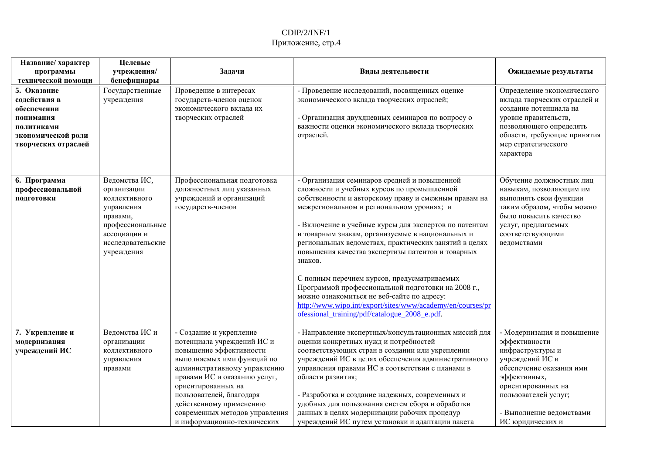| Название/ характер<br>программы<br>технической помощи                                                              | Целевые<br>учреждения/<br>бенефициары                                                                                                          | Задачи                                                                                                                                                                                                                                                                                                                       | Виды деятельности                                                                                                                                                                                                                                                                                                                                                                                                                                                                                                                                                                                                                                                                                       | Ожидаемые результаты                                                                                                                                                                                                         |
|--------------------------------------------------------------------------------------------------------------------|------------------------------------------------------------------------------------------------------------------------------------------------|------------------------------------------------------------------------------------------------------------------------------------------------------------------------------------------------------------------------------------------------------------------------------------------------------------------------------|---------------------------------------------------------------------------------------------------------------------------------------------------------------------------------------------------------------------------------------------------------------------------------------------------------------------------------------------------------------------------------------------------------------------------------------------------------------------------------------------------------------------------------------------------------------------------------------------------------------------------------------------------------------------------------------------------------|------------------------------------------------------------------------------------------------------------------------------------------------------------------------------------------------------------------------------|
| 5. Оказание<br>содействия в<br>обеспечении<br>понимания<br>политиками<br>экономической роли<br>творческих отраслей | Государственные<br>учреждения                                                                                                                  | Проведение в интересах<br>государств-членов оценок<br>экономического вклада их<br>творческих отраслей                                                                                                                                                                                                                        | - Проведение исследований, посвященных оценке<br>экономического вклада творческих отраслей;<br>- Организация двухдневных семинаров по вопросу о<br>важности оценки экономического вклада творческих<br>отраслей.                                                                                                                                                                                                                                                                                                                                                                                                                                                                                        | Определение экономического<br>вклада творческих отраслей и<br>создание потенциала на<br>уровне правительств,<br>позволяющего определять<br>области, требующие принятия<br>мер стратегического<br>характера                   |
| 6. Программа<br>профессиональной<br>ПОДГОТОВКИ                                                                     | Ведомства ИС,<br>организации<br>коллективного<br>управления<br>правами,<br>профессиональные<br>ассоциации и<br>исследовательские<br>учреждения | Профессиональная подготовка<br>должностных лиц указанных<br>учреждений и организаций<br>государств-членов                                                                                                                                                                                                                    | - Организация семинаров средней и повышенной<br>сложности и учебных курсов по промышленной<br>собственности и авторскому праву и смежным правам на<br>межрегиональном и региональном уровнях; и<br>- Включение в учебные курсы для экспертов по патентам<br>и товарным знакам, организуемые в национальных и<br>региональных ведомствах, практических занятий в целях<br>повышения качества экспертизы патентов и товарных<br>знаков.<br>С полным перечнем курсов, предусматриваемых<br>Программой профессиональной подготовки на 2008 г.,<br>можно ознакомиться не веб-сайте по адресу:<br>http://www.wipo.int/export/sites/www/academy/en/courses/pr<br>ofessional training/pdf/catalogue 2008 e.pdf. | Обучение должностных лиц<br>навыкам, позволяющим им<br>выполнять свои функции<br>таким образом, чтобы можно<br>было повысить качество<br>услуг, предлагаемых<br>соответствующими<br>ведомствами                              |
| 7. Укрепление и<br>модернизация<br>учреждений ИС                                                                   | Ведомства ИС и<br>организации<br>коллективного<br>управления<br>правами                                                                        | - Создание и укрепление<br>потенциала учреждений ИС и<br>повышение эффективности<br>выполняемых ими функций по<br>административному управлению<br>правами ИС и оказанию услуг,<br>ориентированных на<br>пользователей, благодаря<br>действенному применению<br>современных методов управления<br>и информационно-технических | - Направление экспертных/консультационных миссий для<br>оценки конкретных нужд и потребностей<br>соответствующих стран в создании или укреплении<br>учреждений ИС в целях обеспечения административного<br>управления правами ИС в соответствии с планами в<br>области развития;<br>- Разработка и создание надежных, современных и<br>удобных для пользования систем сбора и обработки<br>данных в целях модернизации рабочих процедур<br>учреждений ИС путем установки и адаптации пакета                                                                                                                                                                                                             | - Модернизация и повышение<br>эффективности<br>инфраструктуры и<br>учреждений ИС и<br>обеспечение оказания ими<br>эффективных,<br>ориентированных на<br>пользователей услуг;<br>- Выполнение ведомствами<br>ИС юридических и |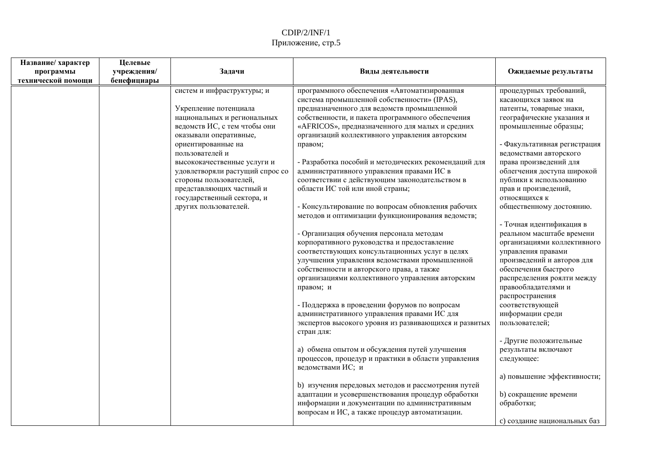| Название/ характер | Целевые     |                                 |                                                                                                       |                                                 |
|--------------------|-------------|---------------------------------|-------------------------------------------------------------------------------------------------------|-------------------------------------------------|
| программы          | учреждения/ | Задачи                          | Виды деятельности                                                                                     | Ожидаемые результаты                            |
| технической помощи | бенефициары |                                 |                                                                                                       |                                                 |
|                    |             | систем и инфраструктуры; и      | программного обеспечения «Автоматизированная<br>система промышленной собственности» (IPAS),           | процедурных требований,<br>касающихся заявок на |
|                    |             | Укрепление потенциала           | предназначенного для ведомств промышленной                                                            | патенты, товарные знаки,                        |
|                    |             | национальных и региональных     | собственности, и пакета программного обеспечения                                                      | географические указания и                       |
|                    |             | ведомств ИС, с тем чтобы они    | «AFRICOS», предназначенного для малых и средних                                                       | промышленные образцы;                           |
|                    |             | оказывали оперативные,          | организаций коллективного управления авторским                                                        |                                                 |
|                    |             | ориентированные на              | правом;                                                                                               | - Факультативная регистрация                    |
|                    |             | пользователей и                 |                                                                                                       | ведомствами авторского                          |
|                    |             | высококачественные услуги и     | - Разработка пособий и методических рекомендаций для                                                  | права произведений для                          |
|                    |             | удовлетворяли растущий спрос со | административного управления правами ИС в                                                             | облегчения доступа широкой                      |
|                    |             | стороны пользователей,          | соответствии с действующим законодательством в                                                        | публики к использованию                         |
|                    |             | представляющих частный и        | области ИС той или иной страны;                                                                       | прав и произведений,                            |
|                    |             | государственный сектора, и      |                                                                                                       | относящихся к                                   |
|                    |             | других пользователей.           | - Консультирование по вопросам обновления рабочих<br>методов и оптимизации функционирования ведомств; | общественному достоянию.                        |
|                    |             |                                 |                                                                                                       | - Точная идентификация в                        |
|                    |             |                                 | - Организация обучения персонала методам                                                              | реальном масштабе времени                       |
|                    |             |                                 | корпоративного руководства и предоставление                                                           | организациями коллективного                     |
|                    |             |                                 | соответствующих консультационных услуг в целях                                                        | управления правами                              |
|                    |             |                                 | улучшения управления ведомствами промышленной                                                         | произведений и авторов для                      |
|                    |             |                                 | собственности и авторского права, а также                                                             | обеспечения быстрого                            |
|                    |             |                                 | организациями коллективного управления авторским                                                      | распределения роялти между                      |
|                    |             |                                 | правом; и                                                                                             | правообладателями и                             |
|                    |             |                                 |                                                                                                       | распространения                                 |
|                    |             |                                 | - Поддержка в проведении форумов по вопросам                                                          | соответствующей                                 |
|                    |             |                                 | административного управления правами ИС для                                                           | информации среди                                |
|                    |             |                                 | экспертов высокого уровня из развивающихся и развитых<br>стран для:                                   | пользователей;                                  |
|                    |             |                                 |                                                                                                       | - Другие положительные                          |
|                    |             |                                 | а) обмена опытом и обсуждения путей улучшения                                                         | результаты включают                             |
|                    |             |                                 | процессов, процедур и практики в области управления<br>ведомствами ИС; и                              | следующее:                                      |
|                    |             |                                 |                                                                                                       | а) повышение эффективности;                     |
|                    |             |                                 | b) изучения передовых методов и рассмотрения путей                                                    |                                                 |
|                    |             |                                 | адаптации и усовершенствования процедур обработки                                                     | <b>b)</b> сокращение времени                    |
|                    |             |                                 | информации и документации по административным                                                         | обработки;                                      |
|                    |             |                                 | вопросам и ИС, а также процедур автоматизации.                                                        |                                                 |
|                    |             |                                 |                                                                                                       | с) создание национальных баз                    |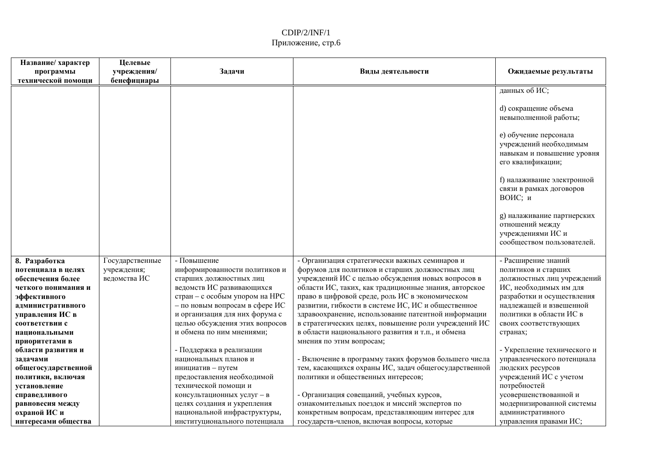| Название/ характер<br>программы | Целевые<br>учреждения/ | Задачи                         | Виды деятельности                                     | Ожидаемые результаты                                                                               |
|---------------------------------|------------------------|--------------------------------|-------------------------------------------------------|----------------------------------------------------------------------------------------------------|
| технической помощи              | бенефициары            |                                |                                                       |                                                                                                    |
|                                 |                        |                                |                                                       | данных об ИС;                                                                                      |
|                                 |                        |                                |                                                       | d) сокращение объема<br>невыполненной работы;                                                      |
|                                 |                        |                                |                                                       | е) обучение персонала<br>учреждений необходимым<br>навыкам и повышение уровня<br>его квалификации; |
|                                 |                        |                                |                                                       | f) налаживание электронной<br>связи в рамках договоров<br>ВОИС; и                                  |
|                                 |                        |                                |                                                       | g) налаживание партнерских<br>отношений между<br>учреждениями ИС и<br>сообществом пользователей.   |
| 8. Разработка                   | Государственные        | - Повышение                    | - Организация стратегически важных семинаров и        | - Расширение знаний                                                                                |
| потенциала в целях              | учреждения;            | информированности политиков и  | форумов для политиков и старших должностных лиц       | политиков и старших                                                                                |
| обеспечения более               | ведомства ИС           | старших должностных лиц        | учреждений ИС с целью обсуждения новых вопросов в     | должностных лиц учреждений                                                                         |
| четкого понимания и             |                        | ведомств ИС развивающихся      | области ИС, таких, как традиционные знания, авторское | ИС, необходимых им для                                                                             |
| эффективного                    |                        | стран - с особым упором на НРС | право в цифровой среде, роль ИС в экономическом       | разработки и осуществления                                                                         |
| административного               |                        | - по новым вопросам в сфере ИС | развитии, гибкости в системе ИС, ИС и общественное    | надлежащей и взвешенной                                                                            |
| управления ИС в                 |                        | и организация для них форума с | здравоохранение, использование патентной информации   | политики в области ИС в                                                                            |
| соответствии с                  |                        | целью обсуждения этих вопросов | в стратегических целях, повышение роли учреждений ИС  | своих соответствующих                                                                              |
| национальными                   |                        | и обмена по ним мнениями;      | в области национального развития и т.п., и обмена     | странах;                                                                                           |
| приоритетами в                  |                        |                                | мнения по этим вопросам;                              |                                                                                                    |
| области развития и              |                        | - Поддержка в реализации       |                                                       | - Укрепление технического и                                                                        |
| задачами                        |                        | национальных планов и          | - Включение в программу таких форумов большего числа  | управленческого потенциала                                                                         |
| общегосударственной             |                        | инициатив - путем              | тем, касающихся охраны ИС, задач общегосударственной  | людских ресурсов                                                                                   |
| политики, включая               |                        | предоставления необходимой     | политики и общественных интересов;                    | учреждений ИС с учетом                                                                             |
| установление                    |                        | технической помощи и           |                                                       | потребностей                                                                                       |
| справедливого                   |                        | консультационных услуг - в     | - Организация совещаний, учебных курсов,              | усовершенствованной и                                                                              |
| равновесия между                |                        | целях создания и укрепления    | ознакомительных поездок и миссий экспертов по         | модернизированной системы                                                                          |
| охраной ИС и                    |                        | национальной инфраструктуры,   | конкретным вопросам, представляющим интерес для       | административного                                                                                  |
| интересами общества             |                        | институционального потенциала  | государств-членов, включая вопросы, которые           | управления правами ИС;                                                                             |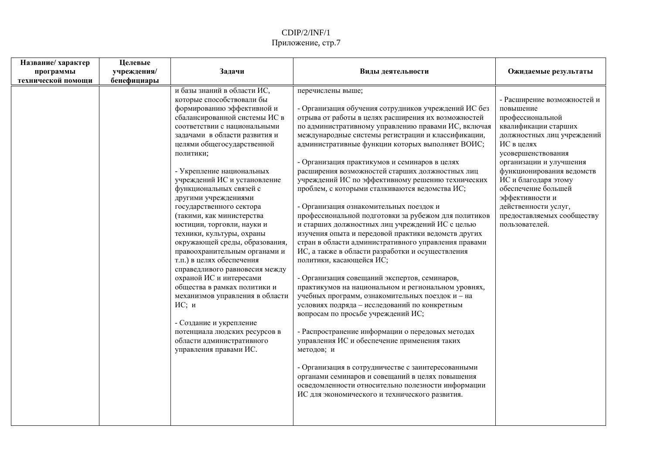| Название/ характер<br>Целевые<br>учреждения/<br>Задачи<br>программы<br>технической помощи<br>бенефициары                                                                                                                                                                                                                                                                                                                                                                                                                                                                                                                                                                                                                                                                                                                                                                                           | Виды деятельности                                                                                                                                                                                                                                                                                                                                                                                                                                                                                                                                                                                                                                                                                                                                                                                                                                                                                                                                                                                                                                                                                                                                                                                                                                                                                                                                                                         | Ожидаемые результаты                                                                                                                                                                                                                                                                                                                                     |
|----------------------------------------------------------------------------------------------------------------------------------------------------------------------------------------------------------------------------------------------------------------------------------------------------------------------------------------------------------------------------------------------------------------------------------------------------------------------------------------------------------------------------------------------------------------------------------------------------------------------------------------------------------------------------------------------------------------------------------------------------------------------------------------------------------------------------------------------------------------------------------------------------|-------------------------------------------------------------------------------------------------------------------------------------------------------------------------------------------------------------------------------------------------------------------------------------------------------------------------------------------------------------------------------------------------------------------------------------------------------------------------------------------------------------------------------------------------------------------------------------------------------------------------------------------------------------------------------------------------------------------------------------------------------------------------------------------------------------------------------------------------------------------------------------------------------------------------------------------------------------------------------------------------------------------------------------------------------------------------------------------------------------------------------------------------------------------------------------------------------------------------------------------------------------------------------------------------------------------------------------------------------------------------------------------|----------------------------------------------------------------------------------------------------------------------------------------------------------------------------------------------------------------------------------------------------------------------------------------------------------------------------------------------------------|
| и базы знаний в области ИС,<br>перечислены выше;<br>которые способствовали бы<br>формированию эффективной и<br>сбалансированной системы ИС в<br>соответствии с национальными<br>задачами в области развития и<br>целями общегосударственной<br>политики;<br>- Укрепление национальных<br>учреждений ИС и установление<br>функциональных связей с<br>другими учреждениями<br>государственного сектора<br>(такими, как министерства<br>юстиции, торговли, науки и<br>техники, культуры, охраны<br>окружающей среды, образования,<br>правоохранительным органами и<br>политики, касающейся ИС;<br>т.п.) в целях обеспечения<br>справедливого равновесия между<br>охраной ИС и интересами<br>общества в рамках политики и<br>механизмов управления в области<br>ИС; и<br>- Создание и укрепление<br>потенциала людских ресурсов в<br>области административного<br>управления правами ИС.<br>методов; и | - Организация обучения сотрудников учреждений ИС без<br>отрыва от работы в целях расширения их возможностей<br>по административному управлению правами ИС, включая<br>международные системы регистрации и классификации,<br>административные функции которых выполняет ВОИС;<br>- Организация практикумов и семинаров в целях<br>расширения возможностей старших должностных лиц<br>учреждений ИС по эффективному решению технических<br>проблем, с которыми сталкиваются ведомства ИС;<br>- Организация ознакомительных поездок и<br>профессиональной подготовки за рубежом для политиков<br>и старших должностных лиц учреждений ИС с целью<br>изучения опыта и передовой практики ведомств других<br>стран в области административного управления правами<br>ИС, а также в области разработки и осуществления<br>- Организация совещаний экспертов, семинаров,<br>практикумов на национальном и региональном уровнях,<br>учебных программ, ознакомительных поездок и - на<br>условиях подряда - исследований по конкретным<br>вопросам по просьбе учреждений ИС;<br>- Распространение информации о передовых методах<br>управления ИС и обеспечение применения таких<br>- Организация в сотрудничестве с заинтересованными<br>органами семинаров и совещаний в целях повышения<br>осведомленности относительно полезности информации<br>ИС для экономического и технического развития. | - Расширение возможностей и<br>повышение<br>профессиональной<br>квалификации старших<br>должностных лиц учреждений<br>ИС в целях<br>усовершенствования<br>организации и улучшения<br>функционирования ведомств<br>ИС и благодаря этому<br>обеспечение большей<br>эффективности и<br>действенности услуг,<br>предоставляемых сообществу<br>пользователей. |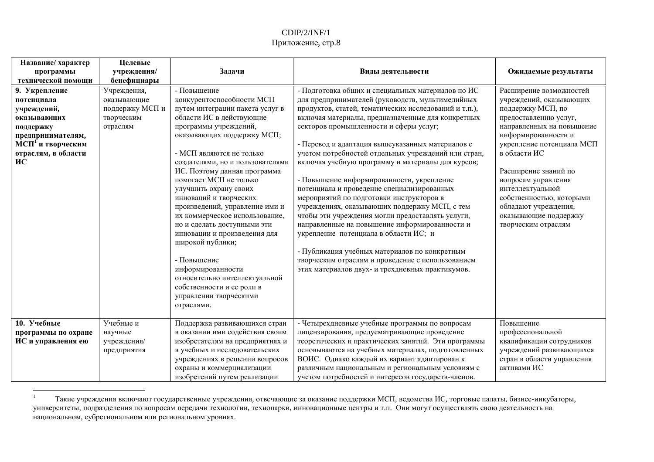| Название/ характер<br>программы<br>технической помощи                                                                                                     | Целевые<br>учреждения/<br>бенефициары                                   | Задачи                                                                                                                                                                                                                                                                                                                                                                                                                                                                                                                                                                                                                                       | Виды деятельности                                                                                                                                                                                                                                                                                                                                                                                                                                                                                                                                                                                                                                                                                                                                                                                                                                                                                                             | Ожидаемые результаты                                                                                                                                                                                                                                                                                                                                                     |
|-----------------------------------------------------------------------------------------------------------------------------------------------------------|-------------------------------------------------------------------------|----------------------------------------------------------------------------------------------------------------------------------------------------------------------------------------------------------------------------------------------------------------------------------------------------------------------------------------------------------------------------------------------------------------------------------------------------------------------------------------------------------------------------------------------------------------------------------------------------------------------------------------------|-------------------------------------------------------------------------------------------------------------------------------------------------------------------------------------------------------------------------------------------------------------------------------------------------------------------------------------------------------------------------------------------------------------------------------------------------------------------------------------------------------------------------------------------------------------------------------------------------------------------------------------------------------------------------------------------------------------------------------------------------------------------------------------------------------------------------------------------------------------------------------------------------------------------------------|--------------------------------------------------------------------------------------------------------------------------------------------------------------------------------------------------------------------------------------------------------------------------------------------------------------------------------------------------------------------------|
| 9. Укрепление<br>потенциала<br>учреждений,<br>оказывающих<br>поддержку<br>предпринимателям,<br>МСП <sup>1</sup> и творческим<br>отраслям, в области<br>ИС | Учреждения,<br>оказывающие<br>поддержку МСП и<br>творческим<br>отраслям | - Повышение<br>конкурентоспособности МСП<br>путем интеграции пакета услуг в<br>области ИС в действующие<br>программы учреждений,<br>оказывающих поддержку МСП;<br>- МСП являются не только<br>создателями, но и пользователями<br>ИС. Поэтому данная программа<br>помогает МСП не только<br>улучшить охрану своих<br>инноваций и творческих<br>произведений, управление ими и<br>их коммерческое использование,<br>но и сделать доступными эти<br>инновации и произведения для<br>широкой публики;<br>- Повышение<br>информированности<br>относительно интеллектуальной<br>собственности и ее роли в<br>управлении творческими<br>отраслями. | - Подготовка общих и специальных материалов по ИС<br>для предпринимателей (руководств, мультимедийных<br>продуктов, статей, тематических исследований и т.п.),<br>включая материалы, предназначенные для конкретных<br>секторов промышленности и сферы услуг;<br>- Перевод и адаптация вышеуказанных материалов с<br>учетом потребностей отдельных учреждений или стран,<br>включая учебную программу и материалы для курсов;<br>- Повышение информированности, укрепление<br>потенциала и проведение специализированных<br>мероприятий по подготовки инструкторов в<br>учреждениях, оказывающих поддержку МСП, с тем<br>чтобы эти учреждения могли предоставлять услуги,<br>направленные на повышение информированности и<br>укрепление потенциала в области ИС; и<br>- Публикация учебных материалов по конкретным<br>творческим отраслям и проведение с использованием<br>этих материалов двух- и трехдневных практикумов. | Расширение возможностей<br>учреждений, оказывающих<br>поддержку МСП, по<br>предоставлению услуг,<br>направленных на повышение<br>информированности и<br>укрепление потенциала МСП<br>в области ИС<br>Расширение знаний по<br>вопросам управления<br>интеллектуальной<br>собственностью, которыми<br>обладают учреждения,<br>оказывающие поддержку<br>творческим отраслям |
| 10. Учебные<br>программы по охране<br>ИС и управления ею                                                                                                  | Учебные и<br>научные<br>учреждения/<br>предприятия                      | Поддержка развивающихся стран<br>в оказании ими содействия своим<br>изобретателям на предприятиях и<br>в учебных и исследовательских<br>учреждениях в решении вопросов<br>охраны и коммерциализации<br>изобретений путем реализации                                                                                                                                                                                                                                                                                                                                                                                                          | - Четырехдневные учебные программы по вопросам<br>лицензирования, предусматривающие проведение<br>теоретических и практических занятий. Эти программы<br>основываются на учебных материалах, подготовленных<br>ВОИС. Однако каждый их вариант адаптирован к<br>различным национальным и региональным условиям с<br>учетом потребностей и интересов государств-членов.                                                                                                                                                                                                                                                                                                                                                                                                                                                                                                                                                         | Повышение<br>профессиональной<br>квалификации сотрудников<br>учреждений развивающихся<br>стран в области управления<br>активами ИС                                                                                                                                                                                                                                       |

 $\,1\,$ Такие учреждения включают государственные учреждения, отвечающие за оказание поддержки МСП, ведомства ИС, торговые палаты, бизнес-инкубаторы, университеты, подразделения по вопросам передачи технологии, технопарки, инновационные центры и т.п. Они могут осуществлять свою деятельность на национальном, субрегиональном или региональном уровнях.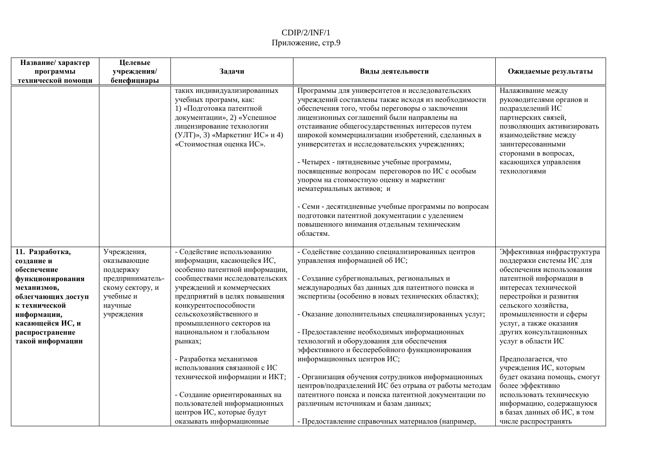| Название/ характер<br>программы<br>технической помощи                                                                                                                                            | Целевые<br>учреждения/<br>бенефициары                                                                                 | Задачи                                                                                                                                                                                                                                                                                                                                                                                                                                                                                                        | Виды деятельности                                                                                                                                                                                                                                                                                                                                                                                                                                                                                                                                                                                                                                                                                               | Ожидаемые результаты                                                                                                                                                                                                                                                                                                                                                                                                                                                                       |
|--------------------------------------------------------------------------------------------------------------------------------------------------------------------------------------------------|-----------------------------------------------------------------------------------------------------------------------|---------------------------------------------------------------------------------------------------------------------------------------------------------------------------------------------------------------------------------------------------------------------------------------------------------------------------------------------------------------------------------------------------------------------------------------------------------------------------------------------------------------|-----------------------------------------------------------------------------------------------------------------------------------------------------------------------------------------------------------------------------------------------------------------------------------------------------------------------------------------------------------------------------------------------------------------------------------------------------------------------------------------------------------------------------------------------------------------------------------------------------------------------------------------------------------------------------------------------------------------|--------------------------------------------------------------------------------------------------------------------------------------------------------------------------------------------------------------------------------------------------------------------------------------------------------------------------------------------------------------------------------------------------------------------------------------------------------------------------------------------|
|                                                                                                                                                                                                  |                                                                                                                       | таких индивидуализированных<br>учебных программ, как:<br>1) «Подготовка патентной<br>документации», 2) «Успешное<br>лицензирование технологии<br>(УЛТ)», 3) «Маркетинг ИС» и 4)<br>«Стоимостная оценка ИС».                                                                                                                                                                                                                                                                                                   | Программы для университетов и исследовательских<br>учреждений составлены также исходя из необходимости<br>обеспечения того, чтобы переговоры о заключении<br>лицензионных соглашений были направлены на<br>отстаивание общегосударственных интересов путем<br>широкой коммерциализации изобретений, сделанных в<br>университетах и исследовательских учреждениях;<br>- Четырех - пятидневные учебные программы,<br>посвященные вопросам переговоров по ИС с особым<br>упором на стоимостную оценку и маркетинг<br>нематериальных активов; и<br>- Семи - десятидневные учебные программы по вопросам<br>подготовки патентной документации с уделением<br>повышенного внимания отдельным техническим<br>областям. | Налаживание между<br>руководителями органов и<br>подразделений ИС<br>партнерских связей,<br>позволяющих активизировать<br>взаимодействие между<br>заинтересованными<br>сторонами в вопросах,<br>касающихся управления<br>технологиями                                                                                                                                                                                                                                                      |
| 11. Разработка,<br>созлание и<br>обеспечение<br>функционирования<br>механизмов,<br>облегчающих доступ<br>к технической<br>информации,<br>касающейся ИС, и<br>распространение<br>такой информации | Учреждения,<br>оказывающие<br>поддержку<br>предприниматель-<br>скому сектору, и<br>учебные и<br>научные<br>учреждения | - Содействие использованию<br>информации, касающейся ИС,<br>особенно патентной информации,<br>сообществами исследовательских<br>учреждений и коммерческих<br>предприятий в целях повышения<br>конкурентоспособности<br>сельскохозяйственного и<br>промышленного секторов на<br>национальном и глобальном<br>рынках;<br>- Разработка механизмов<br>использования связанной с ИС<br>технической информации и ИКТ;<br>- Создание ориентированных на<br>пользователей информационных<br>центров ИС, которые будут | - Содействие созданию специализированных центров<br>управления информацией об ИС;<br>- Создание субрегиональных, региональных и<br>международных баз данных для патентного поиска и<br>экспертизы (особенно в новых технических областях);<br>- Оказание дополнительных специализированных услуг;<br>- Предоставление необходимых информационных<br>технологий и оборудования для обеспечения<br>эффективного и бесперебойного функционирования<br>информационных центров ИС;<br>- Организация обучения сотрудников информационных<br>центров/подразделений ИС без отрыва от работы методам<br>патентного поиска и поиска патентной документации по<br>различным источникам и базам данных;                     | Эффективная инфраструктура<br>поддержки системы ИС для<br>обеспечения использования<br>патентной информации в<br>интересах технической<br>перестройки и развития<br>сельского хозяйства,<br>промышленности и сферы<br>услуг, а также оказания<br>других консультационных<br>услуг в области ИС<br>Предполагается, что<br>учреждения ИС, которым<br>будет оказана помощь, смогут<br>более эффективно<br>использовать техническую<br>информацию, содержащуюся<br>в базах данных об ИС, в том |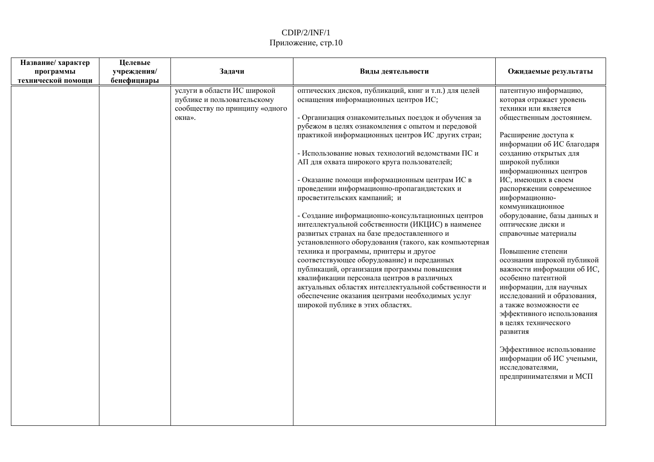| Название/ характер<br>программы<br>технической помощи | Целевые<br>учреждения/<br>бенефициары | Задачи                                                                                                 | Виды деятельности                                                                                                                                                                                                                                                                                                                                                                                                                                                                                                                                                                                                                                                                                                                                                                                                                                                                                                                                                                                                                                        | Ожидаемые результаты                                                                                                                                                                                                                                                                                                                                                                                                                                                                                                                                                                                                                                                                                                                                                          |
|-------------------------------------------------------|---------------------------------------|--------------------------------------------------------------------------------------------------------|----------------------------------------------------------------------------------------------------------------------------------------------------------------------------------------------------------------------------------------------------------------------------------------------------------------------------------------------------------------------------------------------------------------------------------------------------------------------------------------------------------------------------------------------------------------------------------------------------------------------------------------------------------------------------------------------------------------------------------------------------------------------------------------------------------------------------------------------------------------------------------------------------------------------------------------------------------------------------------------------------------------------------------------------------------|-------------------------------------------------------------------------------------------------------------------------------------------------------------------------------------------------------------------------------------------------------------------------------------------------------------------------------------------------------------------------------------------------------------------------------------------------------------------------------------------------------------------------------------------------------------------------------------------------------------------------------------------------------------------------------------------------------------------------------------------------------------------------------|
|                                                       |                                       | услуги в области ИС широкой<br>публике и пользовательскому<br>сообществу по принципу «одного<br>окна». | оптических дисков, публикаций, книг и т.п.) для целей<br>оснащения информационных центров ИС;<br>- Организация ознакомительных поездок и обучения за<br>рубежом в целях ознакомления с опытом и передовой<br>практикой информационных центров ИС других стран;<br>- Использование новых технологий ведомствами ПС и<br>АП для охвата широкого круга пользователей;<br>- Оказание помощи информационным центрам ИС в<br>проведении информационно-пропагандистских и<br>просветительских кампаний; и<br>- Создание информационно-консультационных центров<br>интеллектуальной собственности (ИКЦИС) в наименее<br>развитых странах на базе предоставленного и<br>установленного оборудования (такого, как компьютерная<br>техника и программы, принтеры и другое<br>соответствующее оборудование) и переданных<br>публикаций, организация программы повышения<br>квалификации персонала центров в различных<br>актуальных областях интеллектуальной собственности и<br>обеспечение оказания центрами необходимых услуг<br>широкой публике в этих областях. | патентную информацию,<br>которая отражает уровень<br>техники или является<br>общественным достоянием.<br>Расширение доступа к<br>информации об ИС благодаря<br>созданию открытых для<br>широкой публики<br>информационных центров<br>ИС, имеющих в своем<br>распоряжении современное<br>информационно-<br>коммуникационное<br>оборудование, базы данных и<br>оптические диски и<br>справочные материалы<br>Повышение степени<br>осознания широкой публикой<br>важности информации об ИС,<br>особенно патентной<br>информации, для научных<br>исследований и образования,<br>а также возможности ее<br>эффективного использования<br>в целях технического<br>развития<br>Эффективное использование<br>информации об ИС учеными,<br>исследователями,<br>предпринимателями и МСП |